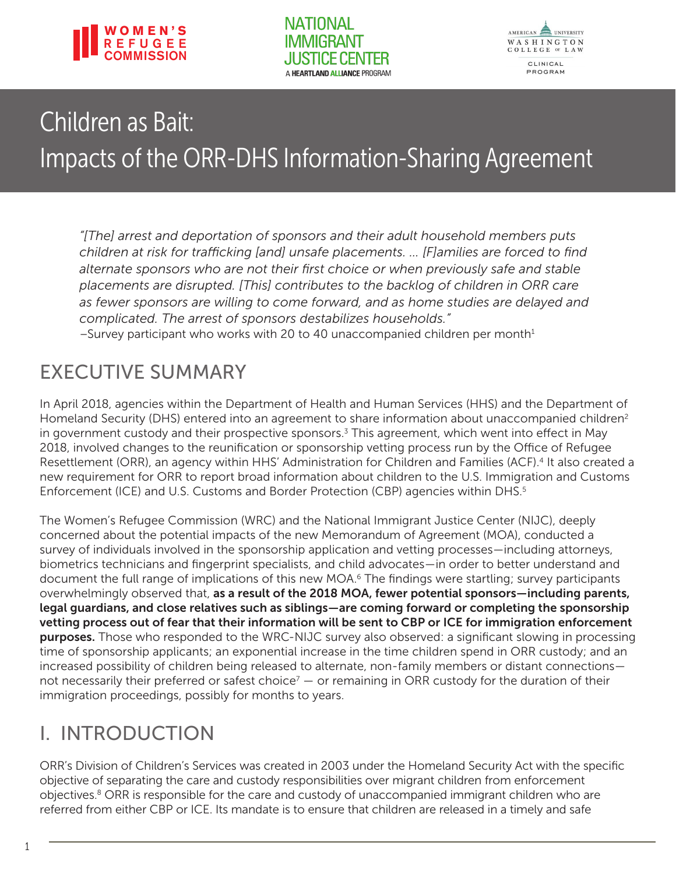<span id="page-0-0"></span>

**NATIONAL IMMIGRANT** A HEARTLAND ALLIANCE PROGRAM



# Children as Bait: Impacts of the ORR-DHS Information-Sharing Agreement

*"[The] arrest and deportation of sponsors and their adult household members puts children at risk for trafficking [and] unsafe placements. … [F]amilies are forced to find alternate sponsors who are not their first choice or when previously safe and stable placements are disrupted. [This] contributes to the backlog of children in ORR care as fewer sponsors are willing to come forward, and as home studies are delayed and complicated. The arrest of sponsors destabilizes households."* –Survey participant who works with 20 to 40 unaccompanied children per month $1$ 

### EXECUTIVE SUMMARY

In April 2018, agencies within the Department of Health and Human Services (HHS) and the Department of Homeland Security (DHS) entered into an agreement to share information about unaccompanied children<sup>[2](#page-9-0)</sup> in government custody and their prospective sponsors.<sup>[3](#page-9-0)</sup> This agreement, which went into effect in May 2018, involved changes to the reunification or sponsorship vetting process run by the Office of Refugee Resettlement (ORR), an agency within HHS' Administration for Children and Families (ACF).[4](#page-9-0) It also created a new requirement for ORR to report broad information about children to the U.S. Immigration and Customs Enforcement (ICE) and U.S. Customs and Border Protection (CBP) agencies within DHS.<sup>5</sup>

The Women's Refugee Commission (WRC) and the National Immigrant Justice Center (NIJC), deeply concerned about the potential impacts of the new Memorandum of Agreement (MOA), conducted a survey of individuals involved in the sponsorship application and vetting processes—including attorneys, biometrics technicians and fingerprint specialists, and child advocates—in order to better understand and document the full range of implications of this new MOA.<sup>6</sup> The findings were startling; survey participants overwhelmingly observed that, as a result of the 2018 MOA, fewer potential sponsors—including parents, legal guardians, and close relatives such as siblings—are coming forward or completing the sponsorship vetting process out of fear that their information will be sent to CBP or ICE for immigration enforcement purposes. Those who responded to the WRC-NIJC survey also observed: a significant slowing in processing time of sponsorship applicants; an exponential increase in the time children spend in ORR custody; and an increased possibility of children being released to alternate, non-family members or distant connections not necessarily their preferred or safest choice<sup>7</sup>  $-$  or remaining in ORR custody for the duration of their immigration proceedings, possibly for months to years.

### I. INTRODUCTION

ORR's Division of Children's Services was created in 2003 under the Homeland Security Act with the specific objective of separating the care and custody responsibilities over migrant children from enforcement objectives.<sup>8</sup> ORR is responsible for the care and custody of unaccompanied immigrant children who are referred from either CBP or ICE. Its mandate is to ensure that children are released in a timely and safe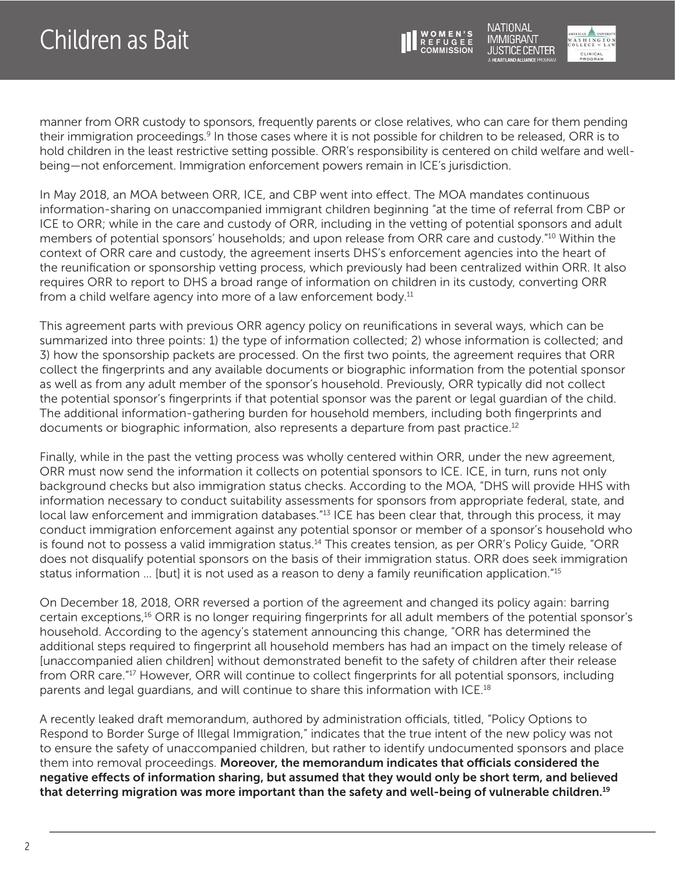

NATIONAL **IMMIGRANT USTICE CENTER** 



<span id="page-1-0"></span>manner from ORR custody to sponsors, frequently parents or close relatives, who can care for them pending their immigration proceedings[.9](#page-9-0) In those cases where it is not possible for children to be released, ORR is to hold children in the least restrictive setting possible. ORR's responsibility is centered on child welfare and wellbeing—not enforcement. Immigration enforcement powers remain in ICE's jurisdiction.

In May 2018, an MOA between ORR, ICE, and CBP went into effect. The MOA mandates continuous information-sharing on unaccompanied immigrant children beginning "at the time of referral from CBP or ICE to ORR; while in the care and custody of ORR, including in the vetting of potential sponsors and adult members of potential sponsors' households; and upon release from ORR care and custody."[10](#page-9-0) Within the context of ORR care and custody, the agreement inserts DHS's enforcement agencies into the heart of the reunification or sponsorship vetting process, which previously had been centralized within ORR. It also requires ORR to report to DHS a broad range of information on children in its custody, converting ORR from a child welfare agency into more of a law enforcement body. $11$ 

This agreement parts with previous ORR agency policy on reunifications in several ways, which can be summarized into three points: 1) the type of information collected; 2) whose information is collected; and 3) how the sponsorship packets are processed. On the first two points, the agreement requires that ORR collect the fingerprints and any available documents or biographic information from the potential sponsor as well as from any adult member of the sponsor's household. Previously, ORR typically did not collect the potential sponsor's fingerprints if that potential sponsor was the parent or legal guardian of the child. The additional information-gathering burden for household members, including both fingerprints and documents or biographic information, also represents a departure from past practice.<sup>[12](#page-9-0)</sup>

Finally, while in the past the vetting process was wholly centered within ORR, under the new agreement, ORR must now send the information it collects on potential sponsors to ICE. ICE, in turn, runs not only background checks but also immigration status checks. According to the MOA, "DHS will provide HHS with information necessary to conduct suitability assessments for sponsors from appropriate federal, state, and local law enforcement and immigration databases."<sup>[13](#page-9-0)</sup> ICE has been clear that, through this process, it may conduct immigration enforcement against any potential sponsor or member of a sponsor's household who is found not to possess a valid immigration status.<sup>[14](#page-9-0)</sup> This creates tension, as per ORR's Policy Guide, "ORR does not disqualify potential sponsors on the basis of their immigration status. ORR does seek immigration status information … [but] it is not used as a reason to deny a family reunification application.["15](#page-9-0)

On December 18, 2018, ORR reversed a portion of the agreement and changed its policy again: barring certain exceptions,[16](#page-9-0) ORR is no longer requiring fingerprints for all adult members of the potential sponsor's household. According to the agency's statement announcing this change, "ORR has determined the additional steps required to fingerprint all household members has had an impact on the timely release of [unaccompanied alien children] without demonstrated benefit to the safety of children after their release from ORR care.["17](#page-9-0) However, ORR will continue to collect fingerprints for all potential sponsors, including parents and legal guardians, and will continue to share this information with ICE.<sup>18</sup>

A recently leaked draft memorandum, authored by administration officials, titled, "Policy Options to Respond to Border Surge of Illegal Immigration," indicates that the true intent of the new policy was not to ensure the safety of unaccompanied children, but rather to identify undocumented sponsors and place them into removal proceedings. Moreover, the memorandum indicates that officials considered the negative effects of information sharing, but assumed that they would only be short term, and believed that deterring migration was more important than the safety and well-being of vulnerable children.<sup>[19](#page-10-0)</sup>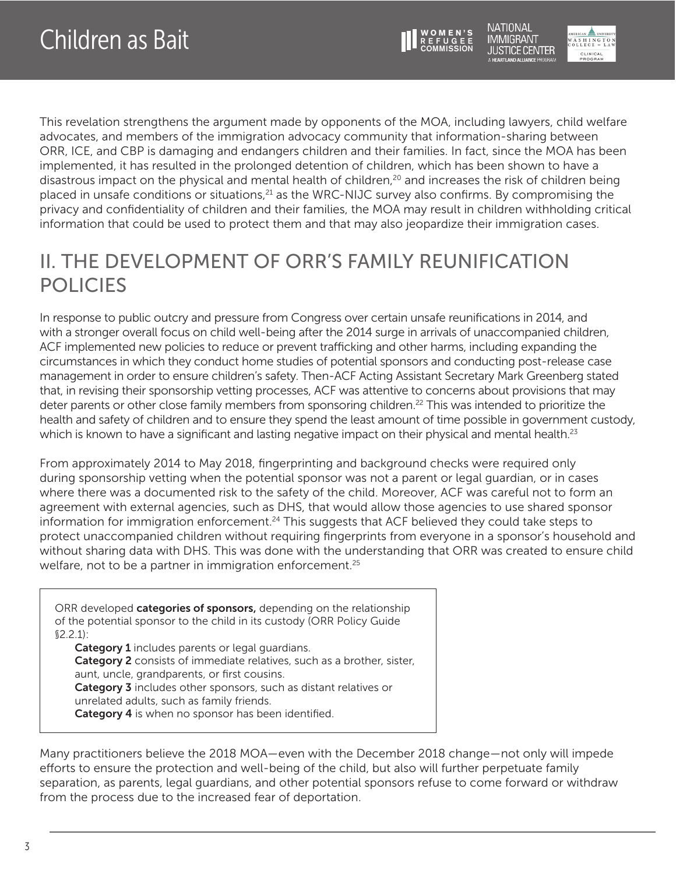

JUSTICE CENTER CLINICAL<br>PROGRAM

**IMMIGRANT** 

<span id="page-2-0"></span>This revelation strengthens the argument made by opponents of the MOA, including lawyers, child welfare advocates, and members of the immigration advocacy community that information-sharing between ORR, ICE, and CBP is damaging and endangers children and their families. In fact, since the MOA has been implemented, it has resulted in the prolonged detention of children, which has been shown to have a disastrous impact on the physical and mental health of children,<sup>20</sup> and increases the risk of children being placed in unsafe conditions or situations,<sup>[21](#page-10-0)</sup> as the WRC-NIJC survey also confirms. By compromising the privacy and confidentiality of children and their families, the MOA may result in children withholding critical information that could be used to protect them and that may also jeopardize their immigration cases.

### II. THE DEVELOPMENT OF ORR'S FAMILY REUNIFICATION POLICIES

In response to public outcry and pressure from Congress over certain unsafe reunifications in 2014, and with a stronger overall focus on child well-being after the 2014 surge in arrivals of unaccompanied children, ACF implemented new policies to reduce or prevent trafficking and other harms, including expanding the circumstances in which they conduct home studies of potential sponsors and conducting post-release case management in order to ensure children's safety. Then-ACF Acting Assistant Secretary Mark Greenberg stated that, in revising their sponsorship vetting processes, ACF was attentive to concerns about provisions that may deter parents or other close family members from sponsoring children.<sup>22</sup> This was intended to prioritize the health and safety of children and to ensure they spend the least amount of time possible in government custody, which is known to have a significant and lasting negative impact on their physical and mental health.<sup>23</sup>

From approximately 2014 to May 2018, fingerprinting and background checks were required only during sponsorship vetting when the potential sponsor was not a parent or legal guardian, or in cases where there was a documented risk to the safety of the child. Moreover, ACF was careful not to form an agreement with external agencies, such as DHS, that would allow those agencies to use shared sponsor information for immigration enforcement.<sup>24</sup> This suggests that ACF believed they could take steps to protect unaccompanied children without requiring fingerprints from everyone in a sponsor's household and without sharing data with DHS. This was done with the understanding that ORR was created to ensure child welfare, not to be a partner in immigration enforcement.<sup>25</sup>

ORR developed **categories of sponsors,** depending on the relationship of the potential sponsor to the child in its custody (ORR Policy Guide §2.2.1): Category 1 includes parents or legal guardians.

Category 2 consists of immediate relatives, such as a brother, sister, aunt, uncle, grandparents, or first cousins. Category 3 includes other sponsors, such as distant relatives or unrelated adults, such as family friends. Category 4 is when no sponsor has been identified.

Many practitioners believe the 2018 MOA—even with the December 2018 change—not only will impede efforts to ensure the protection and well-being of the child, but also will further perpetuate family separation, as parents, legal guardians, and other potential sponsors refuse to come forward or withdraw from the process due to the increased fear of deportation.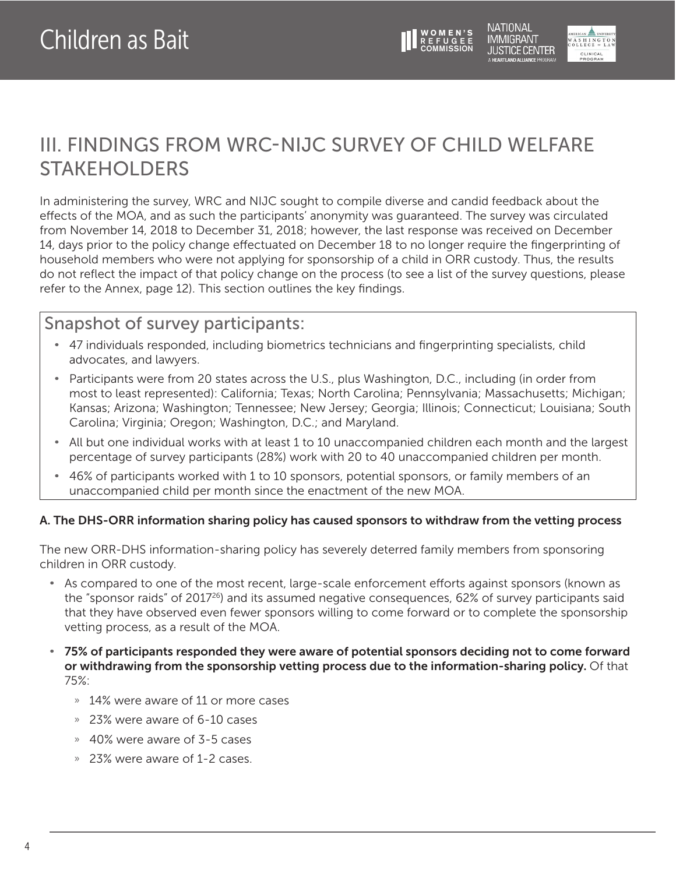

### <span id="page-3-0"></span>III. FINDINGS FROM WRC-NIJC SURVEY OF CHILD WELFARE STAKEHOLDERS

In administering the survey, WRC and NIJC sought to compile diverse and candid feedback about the effects of the MOA, and as such the participants' anonymity was guaranteed. The survey was circulated from November 14, 2018 to December 31, 2018; however, the last response was received on December 14, days prior to the policy change effectuated on December 18 to no longer require the fingerprinting of household members who were not applying for sponsorship of a child in ORR custody. Thus, the results do not reflect the impact of that policy change on the process (to see a list of the survey questions, please refer to the Annex, page 12). This section outlines the key findings.

### Snapshot of survey participants:

- 47 individuals responded, including biometrics technicians and fingerprinting specialists, child advocates, and lawyers.
- Participants were from 20 states across the U.S., plus Washington, D.C., including (in order from most to least represented): California; Texas; North Carolina; Pennsylvania; Massachusetts; Michigan; Kansas; Arizona; Washington; Tennessee; New Jersey; Georgia; Illinois; Connecticut; Louisiana; South Carolina; Virginia; Oregon; Washington, D.C.; and Maryland.
- All but one individual works with at least 1 to 10 unaccompanied children each month and the largest percentage of survey participants (28%) work with 20 to 40 unaccompanied children per month.
- 46% of participants worked with 1 to 10 sponsors, potential sponsors, or family members of an unaccompanied child per month since the enactment of the new MOA.

#### A. The DHS-ORR information sharing policy has caused sponsors to withdraw from the vetting process

The new ORR-DHS information-sharing policy has severely deterred family members from sponsoring children in ORR custody.

- As compared to one of the most recent, large-scale enforcement efforts against sponsors (known as the "sponsor raids" of 201[726\)](#page-10-0) and its assumed negative consequences, 62% of survey participants said that they have observed even fewer sponsors willing to come forward or to complete the sponsorship vetting process, as a result of the MOA.
- 75% of participants responded they were aware of potential sponsors deciding not to come forward or withdrawing from the sponsorship vetting process due to the information-sharing policy. Of that 75%:
	- » 14% were aware of 11 or more cases
	- » 23% were aware of 6-10 cases
	- » 40% were aware of 3-5 cases
	- » 23% were aware of 1-2 cases.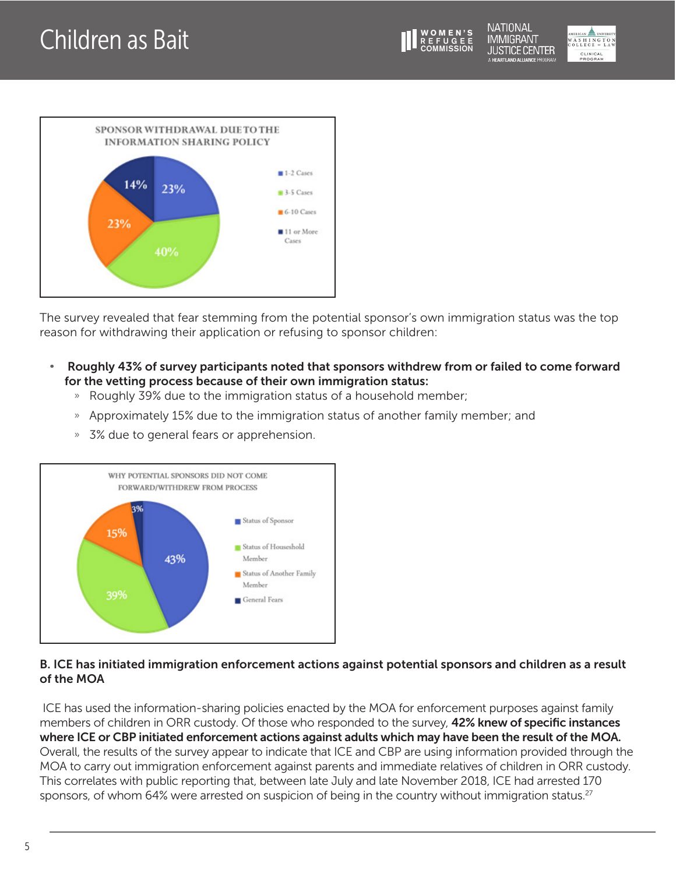**NATIONAL IMMIGRANT JUSTICE CENTER JEARTI AND ALLIANCE PROGRAM** 



<span id="page-4-0"></span>

The survey revealed that fear stemming from the potential sponsor's own immigration status was the top reason for withdrawing their application or refusing to sponsor children:

- Roughly 43% of survey participants noted that sponsors withdrew from or failed to come forward for the vetting process because of their own immigration status:
	- » Roughly 39% due to the immigration status of a household member;
	- » Approximately 15% due to the immigration status of another family member; and
	- » 3% due to general fears or apprehension.



#### B. ICE has initiated immigration enforcement actions against potential sponsors and children as a result of the MOA

 ICE has used the information-sharing policies enacted by the MOA for enforcement purposes against family members of children in ORR custody. Of those who responded to the survey, 42% knew of specific instances where ICE or CBP initiated enforcement actions against adults which may have been the result of the MOA. Overall, the results of the survey appear to indicate that ICE and CBP are using information provided through the MOA to carry out immigration enforcement against parents and immediate relatives of children in ORR custody. This correlates with public reporting that, between late July and late November 2018, ICE had arrested 170 sponsors, of whom 64% were arrested on suspicion of being in the country without immigration status.<sup>27</sup>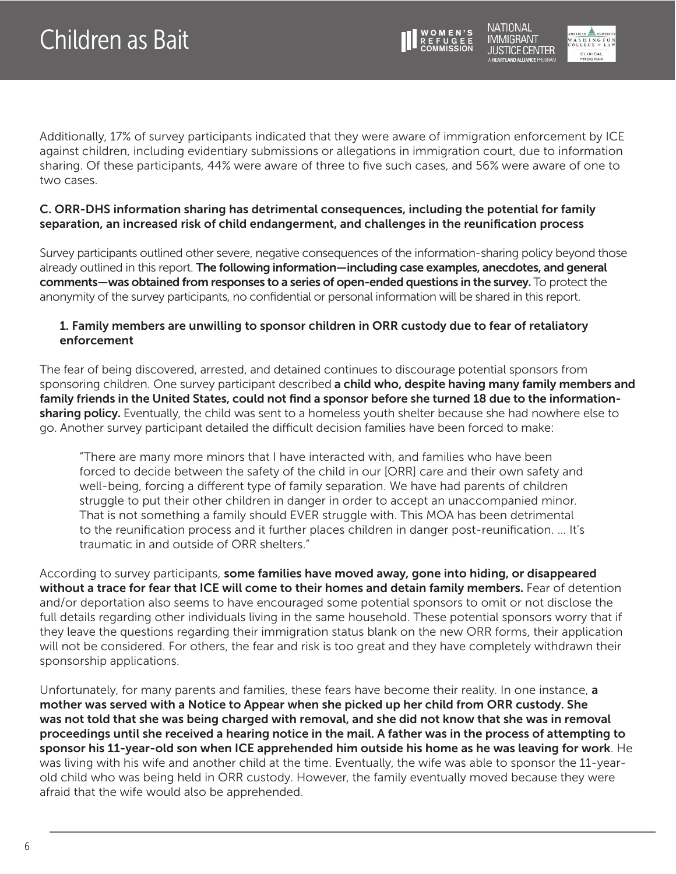

USTICE CENTER CLINICAL<br>PROGRAM

NATIONAL IMMIGRANT

Additionally, 17% of survey participants indicated that they were aware of immigration enforcement by ICE against children, including evidentiary submissions or allegations in immigration court, due to information sharing. Of these participants, 44% were aware of three to five such cases, and 56% were aware of one to two cases.

#### C. ORR-DHS information sharing has detrimental consequences, including the potential for family separation, an increased risk of child endangerment, and challenges in the reunification process

Survey participants outlined other severe, negative consequences of the information-sharing policy beyond those already outlined in this report. The following information—including case examples, anecdotes, and general comments—was obtained from responses to a series of open-ended questions in the survey. To protect the anonymity of the survey participants, no confidential or personal information will be shared in this report.

#### 1. Family members are unwilling to sponsor children in ORR custody due to fear of retaliatory enforcement

The fear of being discovered, arrested, and detained continues to discourage potential sponsors from sponsoring children. One survey participant described a child who, despite having many family members and family friends in the United States, could not find a sponsor before she turned 18 due to the informationsharing policy. Eventually, the child was sent to a homeless youth shelter because she had nowhere else to go. Another survey participant detailed the difficult decision families have been forced to make:

"There are many more minors that I have interacted with, and families who have been forced to decide between the safety of the child in our [ORR] care and their own safety and well-being, forcing a different type of family separation. We have had parents of children struggle to put their other children in danger in order to accept an unaccompanied minor. That is not something a family should EVER struggle with. This MOA has been detrimental to the reunification process and it further places children in danger post-reunification. … It's traumatic in and outside of ORR shelters."

According to survey participants, some families have moved away, gone into hiding, or disappeared without a trace for fear that ICE will come to their homes and detain family members. Fear of detention and/or deportation also seems to have encouraged some potential sponsors to omit or not disclose the full details regarding other individuals living in the same household. These potential sponsors worry that if they leave the questions regarding their immigration status blank on the new ORR forms, their application will not be considered. For others, the fear and risk is too great and they have completely withdrawn their sponsorship applications.

Unfortunately, for many parents and families, these fears have become their reality. In one instance, a mother was served with a Notice to Appear when she picked up her child from ORR custody. She was not told that she was being charged with removal, and she did not know that she was in removal proceedings until she received a hearing notice in the mail. A father was in the process of attempting to sponsor his 11-year-old son when ICE apprehended him outside his home as he was leaving for work. He was living with his wife and another child at the time. Eventually, the wife was able to sponsor the 11-yearold child who was being held in ORR custody. However, the family eventually moved because they were afraid that the wife would also be apprehended.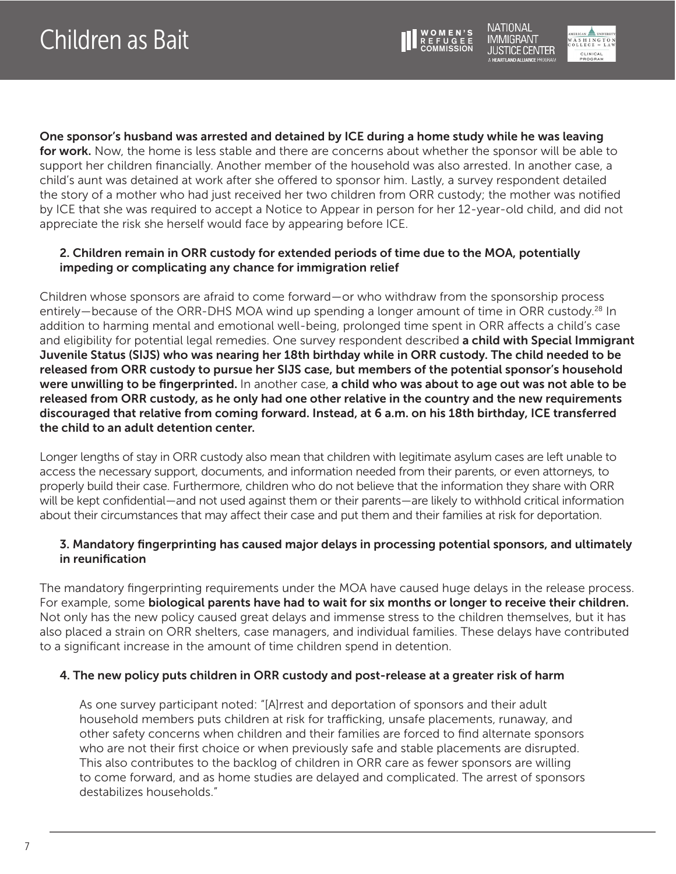



<span id="page-6-0"></span>One sponsor's husband was arrested and detained by ICE during a home study while he was leaving for work. Now, the home is less stable and there are concerns about whether the sponsor will be able to support her children financially. Another member of the household was also arrested. In another case, a child's aunt was detained at work after she offered to sponsor him. Lastly, a survey respondent detailed the story of a mother who had just received her two children from ORR custody; the mother was notified by ICE that she was required to accept a Notice to Appear in person for her 12-year-old child, and did not appreciate the risk she herself would face by appearing before ICE.

#### 2. Children remain in ORR custody for extended periods of time due to the MOA, potentially impeding or complicating any chance for immigration relief

Children whose sponsors are afraid to come forward—or who withdraw from the sponsorship process entirely—because of the ORR-DHS MOA wind up spending a longer amount of time in ORR custody.<sup>[28](#page-10-0)</sup> In addition to harming mental and emotional well-being, prolonged time spent in ORR affects a child's case and eligibility for potential legal remedies. One survey respondent described a child with Special Immigrant Juvenile Status (SIJS) who was nearing her 18th birthday while in ORR custody. The child needed to be released from ORR custody to pursue her SIJS case, but members of the potential sponsor's household were unwilling to be fingerprinted. In another case, a child who was about to age out was not able to be released from ORR custody, as he only had one other relative in the country and the new requirements discouraged that relative from coming forward. Instead, at 6 a.m. on his 18th birthday, ICE transferred the child to an adult detention center.

Longer lengths of stay in ORR custody also mean that children with legitimate asylum cases are left unable to access the necessary support, documents, and information needed from their parents, or even attorneys, to properly build their case. Furthermore, children who do not believe that the information they share with ORR will be kept confidential—and not used against them or their parents—are likely to withhold critical information about their circumstances that may affect their case and put them and their families at risk for deportation.

#### 3. Mandatory fingerprinting has caused major delays in processing potential sponsors, and ultimately in reunification

The mandatory fingerprinting requirements under the MOA have caused huge delays in the release process. For example, some **biological parents have had to wait for six months or longer to receive their children.** Not only has the new policy caused great delays and immense stress to the children themselves, but it has also placed a strain on ORR shelters, case managers, and individual families. These delays have contributed to a significant increase in the amount of time children spend in detention.

#### 4. The new policy puts children in ORR custody and post-release at a greater risk of harm

As one survey participant noted: "[A]rrest and deportation of sponsors and their adult household members puts children at risk for trafficking, unsafe placements, runaway, and other safety concerns when children and their families are forced to find alternate sponsors who are not their first choice or when previously safe and stable placements are disrupted. This also contributes to the backlog of children in ORR care as fewer sponsors are willing to come forward, and as home studies are delayed and complicated. The arrest of sponsors destabilizes households."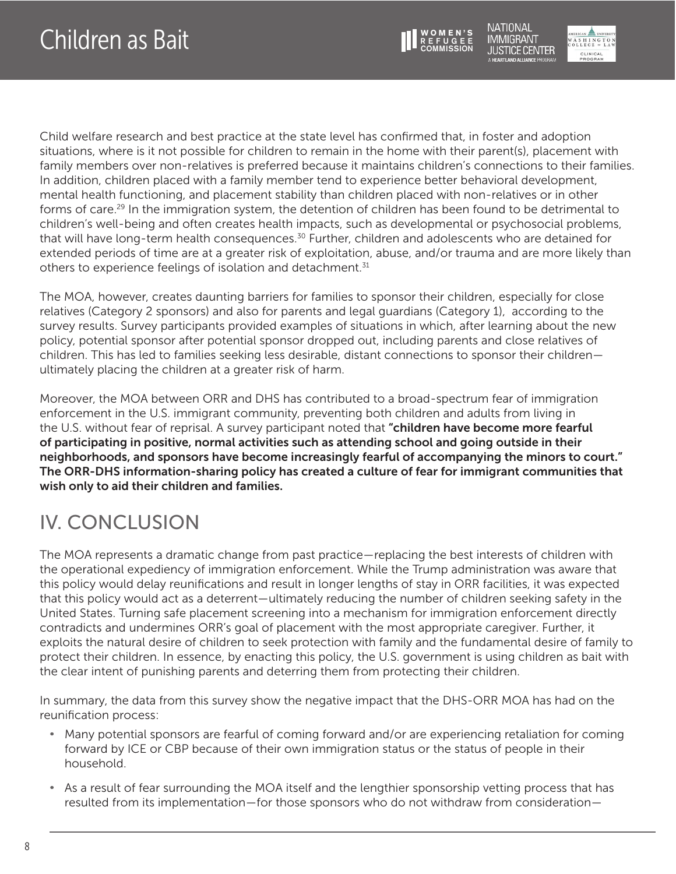

NATIONAL **IMMIGRANT** USTICE CENTER



<span id="page-7-0"></span>Child welfare research and best practice at the state level has confirmed that, in foster and adoption situations, where is it not possible for children to remain in the home with their parent(s), placement with family members over non-relatives is preferred because it maintains children's connections to their families. In addition, children placed with a family member tend to experience better behavioral development, mental health functioning, and placement stability than children placed with non-relatives or in other forms of care.[29](#page-10-0) In the immigration system, the detention of children has been found to be detrimental to children's well-being and often creates health impacts, such as developmental or psychosocial problems, that will have long-term health consequences.<sup>30</sup> Further, children and adolescents who are detained for extended periods of time are at a greater risk of exploitation, abuse, and/or trauma and are more likely than others to experience feelings of isolation and detachment.<sup>31</sup>

The MOA, however, creates daunting barriers for families to sponsor their children, especially for close relatives (Category 2 sponsors) and also for parents and legal guardians (Category 1), according to the survey results. Survey participants provided examples of situations in which, after learning about the new policy, potential sponsor after potential sponsor dropped out, including parents and close relatives of children. This has led to families seeking less desirable, distant connections to sponsor their children ultimately placing the children at a greater risk of harm.

Moreover, the MOA between ORR and DHS has contributed to a broad-spectrum fear of immigration enforcement in the U.S. immigrant community, preventing both children and adults from living in the U.S. without fear of reprisal. A survey participant noted that "children have become more fearful of participating in positive, normal activities such as attending school and going outside in their neighborhoods, and sponsors have become increasingly fearful of accompanying the minors to court." The ORR-DHS information-sharing policy has created a culture of fear for immigrant communities that wish only to aid their children and families.

# IV. CONCLUSION

The MOA represents a dramatic change from past practice—replacing the best interests of children with the operational expediency of immigration enforcement. While the Trump administration was aware that this policy would delay reunifications and result in longer lengths of stay in ORR facilities, it was expected that this policy would act as a deterrent—ultimately reducing the number of children seeking safety in the United States. Turning safe placement screening into a mechanism for immigration enforcement directly contradicts and undermines ORR's goal of placement with the most appropriate caregiver. Further, it exploits the natural desire of children to seek protection with family and the fundamental desire of family to protect their children. In essence, by enacting this policy, the U.S. government is using children as bait with the clear intent of punishing parents and deterring them from protecting their children.

In summary, the data from this survey show the negative impact that the DHS-ORR MOA has had on the reunification process:

- Many potential sponsors are fearful of coming forward and/or are experiencing retaliation for coming forward by ICE or CBP because of their own immigration status or the status of people in their household.
- As a result of fear surrounding the MOA itself and the lengthier sponsorship vetting process that has resulted from its implementation—for those sponsors who do not withdraw from consideration—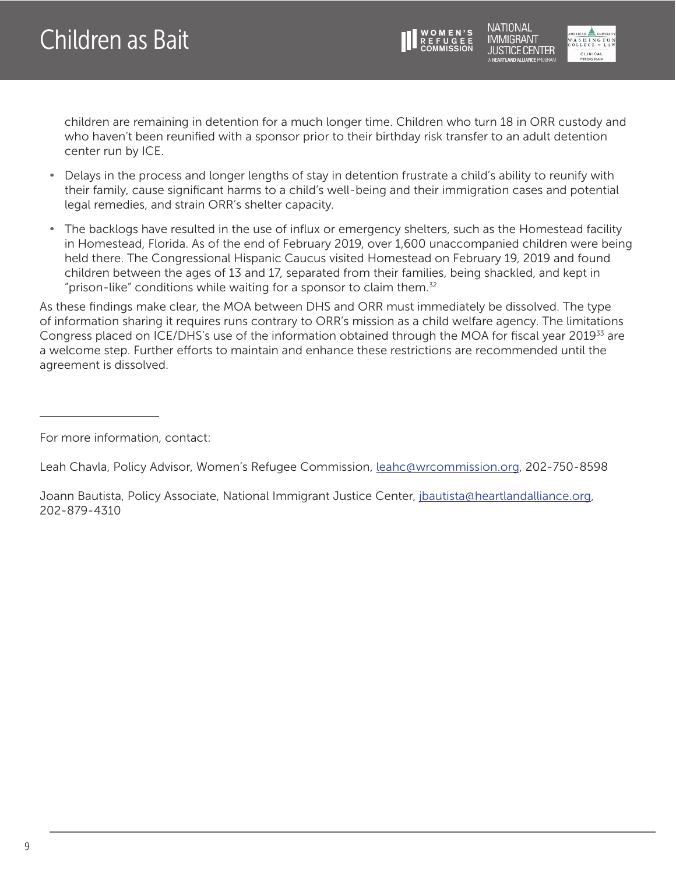

**JUSTICE CENTER** CLINICAL<br>PROGRAM

<span id="page-8-0"></span>children are remaining in detention for a much longer time. Children who turn 18 in ORR custody and who haven't been reunified with a sponsor prior to their birthday risk transfer to an adult detention center run by ICE.

- Delays in the process and longer lengths of stay in detention frustrate a child's ability to reunify with their family, cause significant harms to a child's well-being and their immigration cases and potential legal remedies, and strain ORR's shelter capacity.
- The backlogs have resulted in the use of influx or emergency shelters, such as the Homestead facility in Homestead, Florida. As of the end of February 2019, over 1,600 unaccompanied children were being held there. The Congressional Hispanic Caucus visited Homestead on February 19, 2019 and found children between the ages of 13 and 17, separated from their families, being shackled, and kept in "prison-like" conditions while waiting for a sponsor to claim them.<sup>[32](#page-10-0)</sup>

As these findings make clear, the MOA between DHS and ORR must immediately be dissolved. The type of information sharing it requires runs contrary to ORR's mission as a child welfare agency. The limitations Congress placed on ICE/DHS's use of the information obtained through the MOA for fiscal year 2019<sup>33</sup> are a welcome step. Further efforts to maintain and enhance these restrictions are recommended until the agreement is dissolved.

For more information, contact:

Leah Chavla, Policy Advisor, Women's Refugee Commission, [leahc@wrcommission.org,](mailto:leahc@wrcommission.org) 202-750-8598

Joann Bautista, Policy Associate, National Immigrant Justice Center, [jbautista@heartlandalliance.org,](mailto:jbautista@heartlandalliance.org) 202-879-4310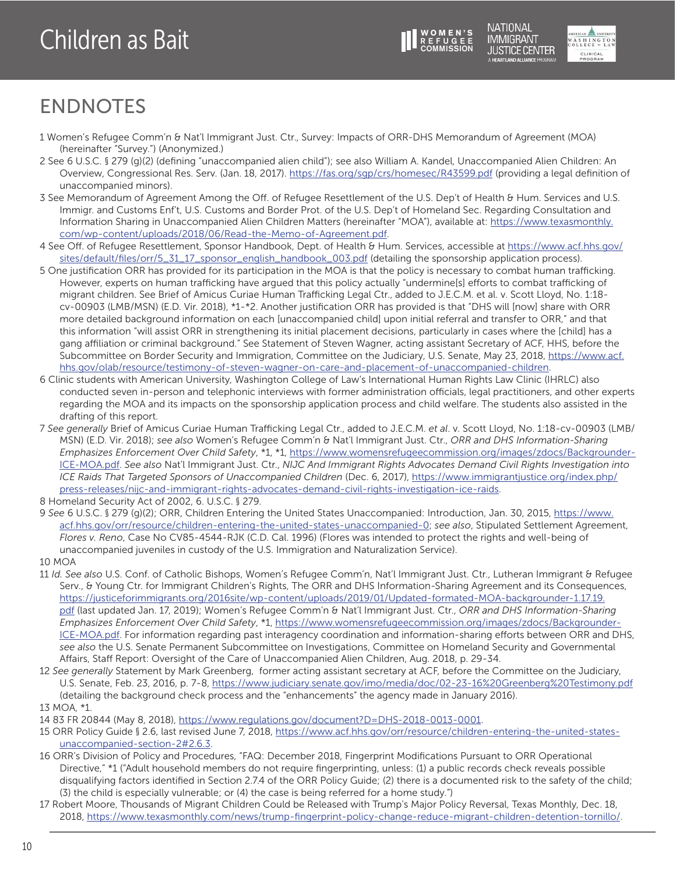



**NATIONAL** 

**IMMIGRANT** 

## <span id="page-9-0"></span>ENDNOTES

- [1](#page-0-0) Women's Refugee Comm'n & Nat'l Immigrant Just. Ctr., Survey: Impacts of ORR-DHS Memorandum of Agreement (MOA) (hereinafter "Survey.") (Anonymized.)
- [2](#page-0-0) See 6 U.S.C. § 279 (g)(2) (defining "unaccompanied alien child"); see also William A. Kandel, Unaccompanied Alien Children: An Overview, Congressional Res. Serv. (Jan. 18, 2017).<https://fas.org/sgp/crs/homesec/R43599.pdf> (providing a legal definition of unaccompanied minors).
- [3](#page-0-0) See Memorandum of Agreement Among the Off. of Refugee Resettlement of the U.S. Dep't of Health & Hum. Services and U.S. Immigr. and Customs Enf't, U.S. Customs and Border Prot. of the U.S. Dep't of Homeland Sec. Regarding Consultation and Information Sharing in Unaccompanied Alien Children Matters (hereinafter "MOA"), available at: [https://www.texasmonthly.](https://www.texasmonthly.com/wp-content/uploads/2018/06/Read-the-Memo-of-Agreement.pdf) [com/wp-content/uploads/2018/06/Read-the-Memo-of-Agreement.pdf.](https://www.texasmonthly.com/wp-content/uploads/2018/06/Read-the-Memo-of-Agreement.pdf)
- [4](#page-0-0) See Off. of Refugee Resettlement, Sponsor Handbook, Dept. of Health & Hum. Services, accessible at [https://www.acf.hhs.gov/](https://www.acf.hhs.gov/sites/default/files/orr/5_31_17_sponsor_english_handbook_003.pdf) [sites/default/files/orr/5\\_31\\_17\\_sponsor\\_english\\_handbook\\_003.pdf](https://www.acf.hhs.gov/sites/default/files/orr/5_31_17_sponsor_english_handbook_003.pdf) (detailing the sponsorship application process).
- [5](#page-0-0) One justification ORR has provided for its participation in the MOA is that the policy is necessary to combat human trafficking. However, experts on human trafficking have argued that this policy actually "undermine[s] efforts to combat trafficking of migrant children. See Brief of Amicus Curiae Human Trafficking Legal Ctr., added to J.E.C.M. et al. v. Scott Lloyd, No. 1:18 cv-00903 (LMB/MSN) (E.D. Vir. 2018), \*1-\*2. Another justification ORR has provided is that "DHS will [now] share with ORR more detailed background information on each [unaccompanied child] upon initial referral and transfer to ORR," and that this information "will assist ORR in strengthening its initial placement decisions, particularly in cases where the [child] has a gang affiliation or criminal background." See Statement of Steven Wagner, acting assistant Secretary of ACF, HHS, before the Subcommittee on Border Security and Immigration, Committee on the Judiciary, U.S. Senate, May 23, 2018, [https://www.acf.](https://www.acf.hhs.gov/olab/resource/testimony-of-steven-wagner-on-care-and-placement-of-unaccompanied-children) [hhs.gov/olab/resource/testimony-of-steven-wagner-on-care-and-placement-of-unaccompanied-children](https://www.acf.hhs.gov/olab/resource/testimony-of-steven-wagner-on-care-and-placement-of-unaccompanied-children).
- [6](#page-0-0) Clinic students with American University, Washington College of Law's International Human Rights Law Clinic (IHRLC) also conducted seven in-person and telephonic interviews with former administration officials, legal practitioners, and other experts regarding the MOA and its impacts on the sponsorship application process and child welfare. The students also assisted in the drafting of this report.
- [7](#page-0-0) *See generally* Brief of Amicus Curiae Human Trafficking Legal Ctr., added to J.E.C.M. *et al*. v. Scott Lloyd, No. 1:18-cv-00903 (LMB/ MSN) (E.D. Vir. 2018); *see also* Women's Refugee Comm'n & Nat'l Immigrant Just. Ctr., *ORR and DHS Information-Sharing Emphasizes Enforcement Over Child Safety*, \*1, \*1, [https://www.womensrefugeecommission.org/images/zdocs/Backgrounder-](https://www.womensrefugeecommission.org/images/zdocs/Backgrounder-ICE-MOA.pdf)[ICE-MOA.pdf](https://www.womensrefugeecommission.org/images/zdocs/Backgrounder-ICE-MOA.pdf). *See also* Nat'l Immigrant Just. Ctr., *NIJC And Immigrant Rights Advocates Demand Civil Rights Investigation into ICE Raids That Targeted Sponsors of Unaccompanied Children* (Dec. 6, 2017), [https://www.immigrantjustice.org/index.php/](https://www.immigrantjustice.org/index.php/press-releases/nijc-and-immigrant-rights-advocates-demand-civil-rights-investigation-ice-raids) [press-releases/nijc-and-immigrant-rights-advocates-demand-civil-rights-investigation-ice-raids.](https://www.immigrantjustice.org/index.php/press-releases/nijc-and-immigrant-rights-advocates-demand-civil-rights-investigation-ice-raids)
- [8](#page-0-0) Homeland Security Act of 2002, 6. U.S.C. § 279.
- [9](#page-1-0) *See* 6 U.S.C. § 279 (g)(2); ORR, Children Entering the United States Unaccompanied: Introduction, Jan. 30, 2015, [https://www.](https://www.acf.hhs.gov/orr/resource/children-entering-the-united-states-unaccompanied-0) [acf.hhs.gov/orr/resource/children-entering-the-united-states-unaccompanied-0;](https://www.acf.hhs.gov/orr/resource/children-entering-the-united-states-unaccompanied-0) *see also*, Stipulated Settlement Agreement, *Flores v. Reno*, Case No CV85-4544-RJK (C.D. Cal. 1996) (Flores was intended to protect the rights and well-being of unaccompanied juveniles in custody of the U.S. Immigration and Naturalization Service).
- [10](#page-1-0) MOA
- [11](#page-1-0) *Id. See also* U.S. Conf. of Catholic Bishops, Women's Refugee Comm'n, Nat'l Immigrant Just. Ctr., Lutheran Immigrant & Refugee Serv., & Young Ctr. for Immigrant Children's Rights, The ORR and DHS Information-Sharing Agreement and its Consequences, [https://justiceforimmigrants.org/2016site/wp-content/uploads/2019/01/Updated-formated-MOA-backgrounder-1.17.19.](https://justiceforimmigrants.org/2016site/wp-content/uploads/2019/01/Updated-formated-MOA-backgrounder-1.17.19.pdf) [pdf](https://justiceforimmigrants.org/2016site/wp-content/uploads/2019/01/Updated-formated-MOA-backgrounder-1.17.19.pdf) (last updated Jan. 17, 2019); Women's Refugee Comm'n & Nat'l Immigrant Just. Ctr., *ORR and DHS Information-Sharing Emphasizes Enforcement Over Child Safety*, \*1, [https://www.womensrefugeecommission.org/images/zdocs/Backgrounder-](https://www.womensrefugeecommission.org/images/zdocs/Backgrounder-ICE-MOA.pdf)[ICE-MOA.pdf](https://www.womensrefugeecommission.org/images/zdocs/Backgrounder-ICE-MOA.pdf). For information regarding past interagency coordination and information-sharing efforts between ORR and DHS, *see also* the U.S. Senate Permanent Subcommittee on Investigations, Committee on Homeland Security and Governmental Affairs, Staff Report: Oversight of the Care of Unaccompanied Alien Children, Aug. 2018, p. 29-34.
- [12](#page-1-0) *See generally* Statement by Mark Greenberg, former acting assistant secretary at ACF, before the Committee on the Judiciary, U.S. Senate, Feb. 23, 2016, p. 7-8,<https://www.judiciary.senate.gov/imo/media/doc/02-23-16%20Greenberg%20Testimony.pdf> (detailing the background check process and the "enhancements" the agency made in January 2016).

[13](#page-1-0) MOA, \*1.

- [14](#page-1-0) 83 FR 20844 (May 8, 2018), [https://www.regulations.gov/document?D=DHS-2018-0013-0001.](https://www.regulations.gov/document?D=DHS-2018-0013-0001)
- [15](#page-1-0) ORR Policy Guide § 2.6, last revised June 7, 2018, [https://www.acf.hhs.gov/orr/resource/children-entering-the-united-states](https://www.acf.hhs.gov/orr/resource/children-entering-the-united-states-unaccompanied-section-2#2.6.3)[unaccompanied-section-2#2.6.3.](https://www.acf.hhs.gov/orr/resource/children-entering-the-united-states-unaccompanied-section-2#2.6.3)
- [16](#page-1-0) ORR's Division of Policy and Procedures, "FAQ: December 2018, Fingerprint Modifications Pursuant to ORR Operational Directive," \*1 ("Adult household members do not require fingerprinting, unless: (1) a public records check reveals possible disqualifying factors identified in Section 2.7.4 of the ORR Policy Guide; (2) there is a documented risk to the safety of the child; (3) the child is especially vulnerable; or (4) the case is being referred for a home study.")
- [17](#page-1-0) Robert Moore, Thousands of Migrant Children Could be Released with Trump's Major Policy Reversal, Texas Monthly, Dec. 18, 2018, <https://www.texasmonthly.com/news/trump-fingerprint-policy-change-reduce-migrant-children-detention-tornillo/>.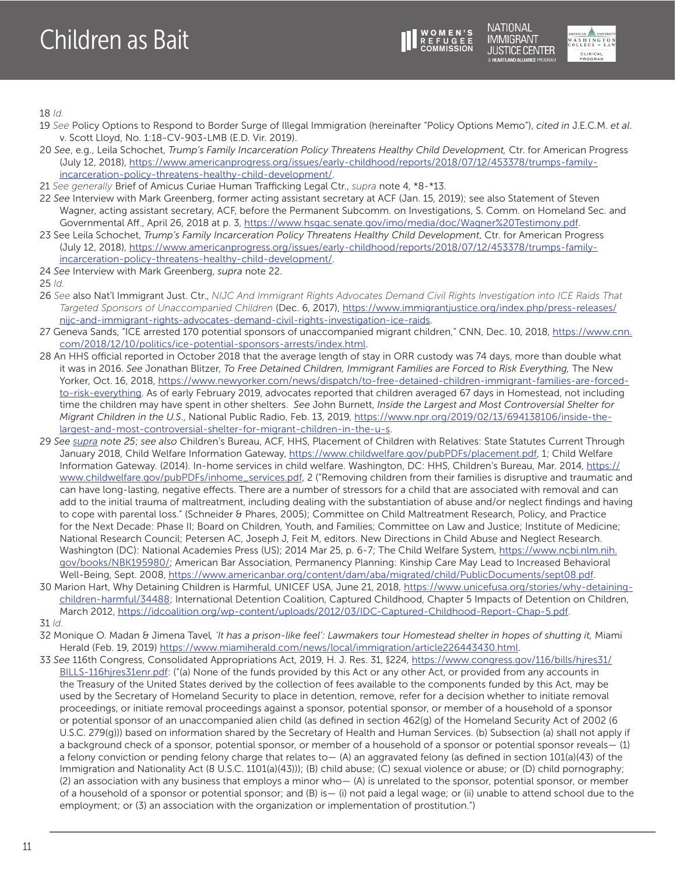

**NATIONAL IMMIGRANT JUSTICE CENTER JEARTI AND ALLIANCE PROGRAM** 



<span id="page-10-0"></span>[18](#page-1-0) *Id.*

- [19](#page-1-0) *See* Policy Options to Respond to Border Surge of Illegal Immigration (hereinafter "Policy Options Memo"), *cited in* J.E.C.M. *et al*. v. Scott Lloyd, No. 1:18-CV-903-LMB (E.D. Vir. 2019).
- [20](#page-2-0) *See*, e.g., Leila Schochet, *Trump's Family Incarceration Policy Threatens Healthy Child Development,* Ctr. for American Progress (July 12, 2018), [https://www.americanprogress.org/issues/early-childhood/reports/2018/07/12/453378/trumps-family](https://www.americanprogress.org/issues/early-childhood/reports/2018/07/12/453378/trumps-family-incarceration-policy-threatens-healthy-child-development/)[incarceration-policy-threatens-healthy-child-development/](https://www.americanprogress.org/issues/early-childhood/reports/2018/07/12/453378/trumps-family-incarceration-policy-threatens-healthy-child-development/).
- [21](#page-2-0) *See generally* Brief of Amicus Curiae Human Trafficking Legal Ctr., *supra* note 4, \*8-\*13.
- [22](#page-2-0) *See* Interview with Mark Greenberg, former acting assistant secretary at ACF (Jan. 15, 2019); see also Statement of Steven Wagner, acting assistant secretary, ACF, before the Permanent Subcomm. on Investigations, S. Comm. on Homeland Sec. and Governmental Aff., April 26, 2018 at p. 3, [https://www.hsgac.senate.gov/imo/media/doc/Wagner%20Testimony.pdf.](https://www.hsgac.senate.gov/imo/media/doc/Wagner%20Testimony.pdf)
- [23](#page-2-0) See Leila Schochet, *Trump's Family Incarceration Policy Threatens Healthy Child Development*, Ctr. for American Progress (July 12, 2018), [https://www.americanprogress.org/issues/early-childhood/reports/2018/07/12/453378/trumps-family](https://www.americanprogress.org/issues/early-childhood/reports/2018/07/12/453378/trumps-family-incarceration-policy-threatens-healthy-child-development/)[incarceration-policy-threatens-healthy-child-development/](https://www.americanprogress.org/issues/early-childhood/reports/2018/07/12/453378/trumps-family-incarceration-policy-threatens-healthy-child-development/).
- [24](#page-2-0) *See* Interview with Mark Greenberg, *supra* note 22.
- [25](#page-2-0) *Id.*
- [26](#page-3-0) *See* also Nat'l Immigrant Just. Ctr., *NIJC And Immigrant Rights Advocates Demand Civil Rights Investigation into ICE Raids That Targeted Sponsors of Unaccompanied Children* (Dec. 6, 2017), [https://www.immigrantjustice.org/index.php/press-releases/](https://www.immigrantjustice.org/index.php/press-releases/nijc-and-immigrant-rights-advocates-demand-civil-rights-investigation-ice-raids) [nijc-and-immigrant-rights-advocates-demand-civil-rights-investigation-ice-raids.](https://www.immigrantjustice.org/index.php/press-releases/nijc-and-immigrant-rights-advocates-demand-civil-rights-investigation-ice-raids)
- [27](#page-4-0) Geneva Sands, "ICE arrested 170 potential sponsors of unaccompanied migrant children," CNN, Dec. 10, 2018, [https://www.cnn.](https://www.cnn.com/2018/12/10/politics/ice-potential-sponsors-arrests/index.html) [com/2018/12/10/politics/ice-potential-sponsors-arrests/index.html](https://www.cnn.com/2018/12/10/politics/ice-potential-sponsors-arrests/index.html).
- [28](#page-6-0) An HHS official reported in October 2018 that the average length of stay in ORR custody was 74 days, more than double what it was in 2016. *See* Jonathan Blitzer, *To Free Detained Children, Immigrant Families are Forced to Risk Everything,* The New Yorker, Oct. 16, 2018, [https://www.newyorker.com/news/dispatch/to-free-detained-children-immigrant-families-are-forced](https://www.newyorker.com/news/dispatch/to-free-detained-children-immigrant-families-are-forced-to-risk-everything)[to-risk-everything](https://www.newyorker.com/news/dispatch/to-free-detained-children-immigrant-families-are-forced-to-risk-everything). As of early February 2019, advocates reported that children averaged 67 days in Homestead, not including time the children may have spent in other shelters. *See* John Burnett, *Inside the Largest and Most Controversial Shelter for Migrant Children in the U.S*., National Public Radio, Feb. 13, 2019, [https://www.npr.org/2019/02/13/694138106/inside-the](https://www.npr.org/2019/02/13/694138106/inside-the-largest-and-most-controversial-shelter-for-migrant-children-in-the-u-s)[largest-and-most-controversial-shelter-for-migrant-children-in-the-u-s](https://www.npr.org/2019/02/13/694138106/inside-the-largest-and-most-controversial-shelter-for-migrant-children-in-the-u-s).
- [29](#page-7-0) *See supra note 25*; *see also* Children's Bureau, ACF, HHS, Placement of Children with Relatives: State Statutes Current Through January 2018, Child Welfare Information Gateway,<https://www.childwelfare.gov/pubPDFs/placement.pdf>, 1; Child Welfare Information Gateway. (2014). In-home services in child welfare. Washington, DC: HHS, Children's Bureau, Mar. 2014, [https://](https://www.childwelfare.gov/pubPDFs/inhome_services.pdf) [www.childwelfare.gov/pubPDFs/inhome\\_services.pdf,](https://www.childwelfare.gov/pubPDFs/inhome_services.pdf) 2 ("Removing children from their families is disruptive and traumatic and can have long-lasting, negative effects. There are a number of stressors for a child that are associated with removal and can add to the initial trauma of maltreatment, including dealing with the substantiation of abuse and/or neglect findings and having to cope with parental loss." (Schneider & Phares, 2005); Committee on Child Maltreatment Research, Policy, and Practice for the Next Decade: Phase II; Board on Children, Youth, and Families; Committee on Law and Justice; Institute of Medicine; National Research Council; Petersen AC, Joseph J, Feit M, editors. New Directions in Child Abuse and Neglect Research. Washington (DC): National Academies Press (US); 2014 Mar 25, p. 6-7; The Child Welfare System, [https://www.ncbi.nlm.nih.](https://www.ncbi.nlm.nih.gov/books/NBK195980/) [gov/books/NBK195980/;](https://www.ncbi.nlm.nih.gov/books/NBK195980/) American Bar Association, Permanency Planning: Kinship Care May Lead to Increased Behavioral Well-Being, Sept. 2008, [https://www.americanbar.org/content/dam/aba/migrated/child/PublicDocuments/sept08.pdf.](https://www.americanbar.org/content/dam/aba/migrated/child/PublicDocuments/sept08.pdf)
- [30](#page-7-0) Marion Hart, Why Detaining Children is Harmful, UNICEF USA, June 21, 2018, [https://www.unicefusa.org/stories/why-detaining](https://www.unicefusa.org/stories/why-detaining-children-harmful/34488)[children-harmful/34488;](https://www.unicefusa.org/stories/why-detaining-children-harmful/34488) International Detention Coalition, Captured Childhood, Chapter 5 Impacts of Detention on Children, March 2012, [https://idcoalition.org/wp-content/uploads/2012/03/IDC-Captured-Childhood-Report-Chap-5.pdf.](https://idcoalition.org/wp-content/uploads/2012/03/IDC-Captured-Childhood-Report-Chap-5.pdf) [31](#page-7-0) *Id.*
- [32](#page-8-0) Monique O. Madan & Jimena Tavel*, 'It has a prison-like feel': Lawmakers tour Homestead shelter in hopes of shutting it,* Miami Herald (Feb. 19, 2019) <https://www.miamiherald.com/news/local/immigration/article226443430.html>.
- [33](#page-8-0) *See* 116th Congress, Consolidated Appropriations Act, 2019, H. J. Res. 31, §224, [https://www.congress.gov/116/bills/hjres31/](https://www.congress.gov/116/bills/hjres31/BILLS-116hjres31enr.pdf) [BILLS-116hjres31enr.pdf](https://www.congress.gov/116/bills/hjres31/BILLS-116hjres31enr.pdf): ("(a) None of the funds provided by this Act or any other Act, or provided from any accounts in the Treasury of the United States derived by the collection of fees available to the components funded by this Act, may be used by the Secretary of Homeland Security to place in detention, remove, refer for a decision whether to initiate removal proceedings, or initiate removal proceedings against a sponsor, potential sponsor, or member of a household of a sponsor or potential sponsor of an unaccompanied alien child (as defined in section 462(g) of the Homeland Security Act of 2002 (6 U.S.C. 279(g))) based on information shared by the Secretary of Health and Human Services. (b) Subsection (a) shall not apply if a background check of a sponsor, potential sponsor, or member of a household of a sponsor or potential sponsor reveals— (1) a felony conviction or pending felony charge that relates to— (A) an aggravated felony (as defined in section 101(a)(43) of the Immigration and Nationality Act (8 U.S.C. 1101(a)(43))); (B) child abuse; (C) sexual violence or abuse; or (D) child pornography; (2) an association with any business that employs a minor who— (A) is unrelated to the sponsor, potential sponsor, or member of a household of a sponsor or potential sponsor; and (B) is— (i) not paid a legal wage; or (ii) unable to attend school due to the employment; or (3) an association with the organization or implementation of prostitution.")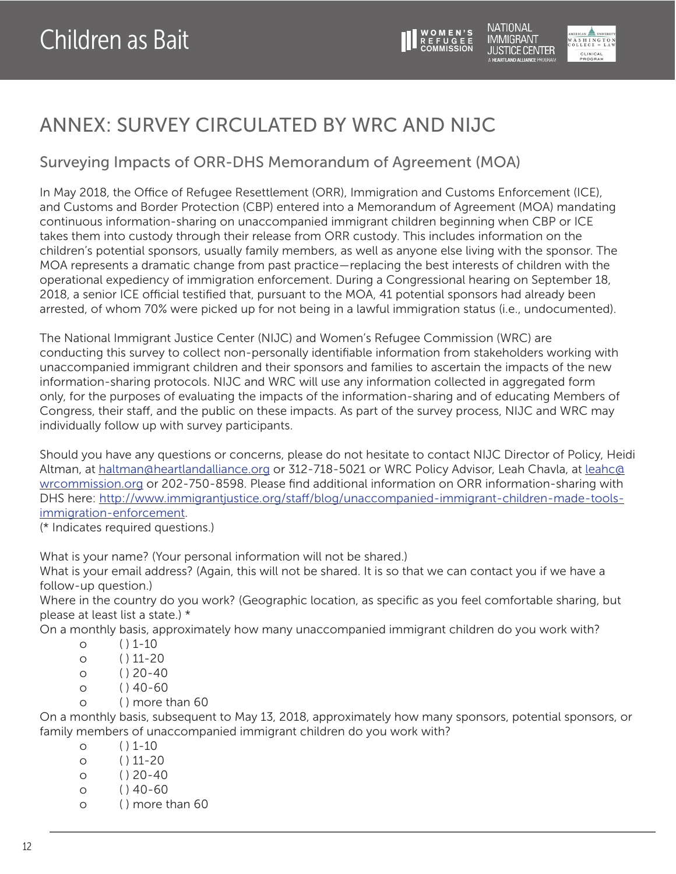

CLINICAL<br>PROGRAM

### ANNEX: SURVEY CIRCULATED BY WRC AND NIJC

### Surveying Impacts of ORR-DHS Memorandum of Agreement (MOA)

In May 2018, the Office of Refugee Resettlement (ORR), Immigration and Customs Enforcement (ICE), and Customs and Border Protection (CBP) entered into a Memorandum of Agreement (MOA) mandating continuous information-sharing on unaccompanied immigrant children beginning when CBP or ICE takes them into custody through their release from ORR custody. This includes information on the children's potential sponsors, usually family members, as well as anyone else living with the sponsor. The MOA represents a dramatic change from past practice—replacing the best interests of children with the operational expediency of immigration enforcement. During a Congressional hearing on September 18, 2018, a senior ICE official testified that, pursuant to the MOA, 41 potential sponsors had already been arrested, of whom 70% were picked up for not being in a lawful immigration status (i.e., undocumented).

The National Immigrant Justice Center (NIJC) and Women's Refugee Commission (WRC) are conducting this survey to collect non-personally identifiable information from stakeholders working with unaccompanied immigrant children and their sponsors and families to ascertain the impacts of the new information-sharing protocols. NIJC and WRC will use any information collected in aggregated form only, for the purposes of evaluating the impacts of the information-sharing and of educating Members of Congress, their staff, and the public on these impacts. As part of the survey process, NIJC and WRC may individually follow up with survey participants.

Should you have any questions or concerns, please do not hesitate to contact NIJC Director of Policy, Heidi Altman, at [haltman@heartlandalliance.org](mailto:haltman@heartlandalliance.org) or 312-718-5021 or WRC Policy Advisor, Leah Chavla, at [leahc@](mailto:leahc@wrcommission.org) [wrcommission.org](mailto:leahc@wrcommission.org) or 202-750-8598. Please find additional information on ORR information-sharing with DHS here: [http://www.immigrantjustice.org/staff/blog/unaccompanied-immigrant-children-made-tools](http://www.immigrantjustice.org/staff/blog/unaccompanied-immigrant-children-made-tools-immigration-enforcement)[immigration-enforcement.](http://www.immigrantjustice.org/staff/blog/unaccompanied-immigrant-children-made-tools-immigration-enforcement)

(\* Indicates required questions.)

What is your name? (Your personal information will not be shared.)

What is your email address? (Again, this will not be shared. It is so that we can contact you if we have a follow-up question.)

Where in the country do you work? (Geographic location, as specific as you feel comfortable sharing, but please at least list a state.) \*

On a monthly basis, approximately how many unaccompanied immigrant children do you work with?

- $O$  ( ) 1-10
- $O \qquad ( ) 11-20$
- $O$  ( )  $20-40$
- $O$   $( ) 40-60$
- o ( ) more than 60

On a monthly basis, subsequent to May 13, 2018, approximately how many sponsors, potential sponsors, or family members of unaccompanied immigrant children do you work with?

- $0 \t ( ) 1-10$
- $O$   $( ) 11-20$
- $O$  ( ) 20-40
- $O \qquad (140-60)$
- o ( ) more than 60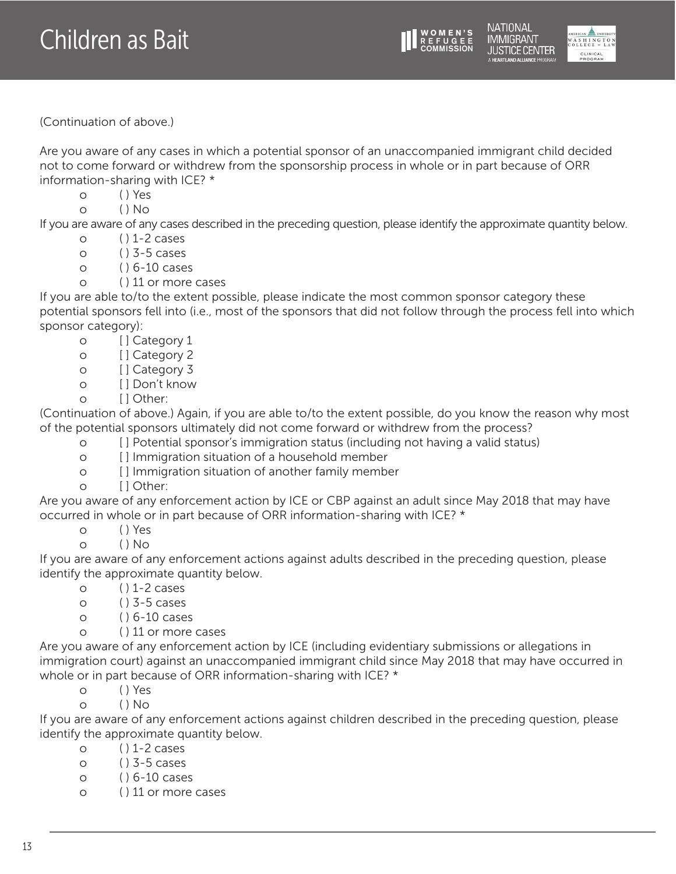



NATIONAL

(Continuation of above.)

Are you aware of any cases in which a potential sponsor of an unaccompanied immigrant child decided not to come forward or withdrew from the sponsorship process in whole or in part because of ORR information-sharing with ICE? \*

- o ( ) Yes
- $O$  ( )  $No$

If you are aware of any cases described in the preceding question, please identify the approximate quantity below.

- $O \qquad ( ) 1-2 \text{ cases}$
- $O$  ( )  $3-5$  cases
- o ( ) 6-10 cases
- o ( ) 11 or more cases

If you are able to/to the extent possible, please indicate the most common sponsor category these potential sponsors fell into (i.e., most of the sponsors that did not follow through the process fell into which sponsor category):

- o [ ] Category 1
- o [ ] Category 2
- o [ ] Category 3
- o [ ] Don't know
- o [ ] Other:

(Continuation of above.) Again, if you are able to/to the extent possible, do you know the reason why most of the potential sponsors ultimately did not come forward or withdrew from the process?

- o [ ] Potential sponsor's immigration status (including not having a valid status)
- o [ ] Immigration situation of a household member
- o [ ] Immigration situation of another family member
- o [] Other:

Are you aware of any enforcement action by ICE or CBP against an adult since May 2018 that may have occurred in whole or in part because of ORR information-sharing with ICE? \*

- o ( ) Yes
- o ( ) No

If you are aware of any enforcement actions against adults described in the preceding question, please identify the approximate quantity below.

- $O \qquad ( ) 1-2 \text{ cases}$
- $O \qquad ( ) 3-5 \text{ cases}$
- o ( ) 6-10 cases
- o ( ) 11 or more cases

Are you aware of any enforcement action by ICE (including evidentiary submissions or allegations in immigration court) against an unaccompanied immigrant child since May 2018 that may have occurred in whole or in part because of ORR information-sharing with ICE? \*

o ( ) Yes

o ( ) No

If you are aware of any enforcement actions against children described in the preceding question, please identify the approximate quantity below.

- $O \qquad ( ) 1-2 \text{ cases}$
- $O$  ( )  $3-5$  cases
- o ( ) 6-10 cases
- o ( ) 11 or more cases